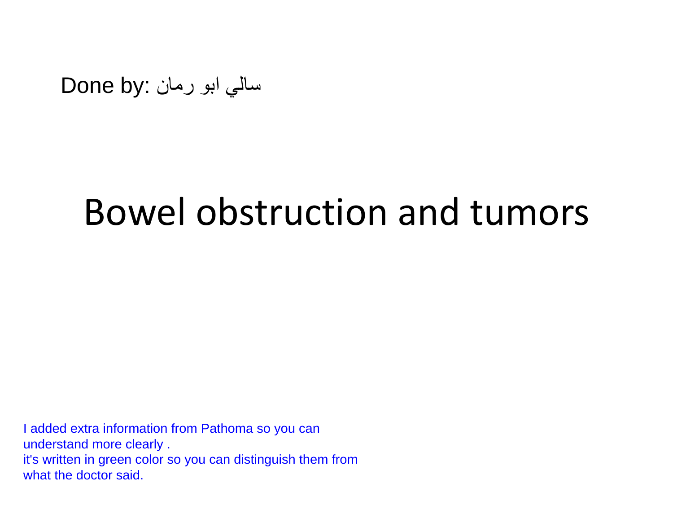### Bowel obstruction and tumors

I added extra information from Pathoma so you can understand more clearly . it's written in green color so you can distinguish them from what the doctor said. يمان :Done by<br>Bowel<br>d extra information fro<br>de stand more clearly<br>ne doctor said.<br>ne doctor said.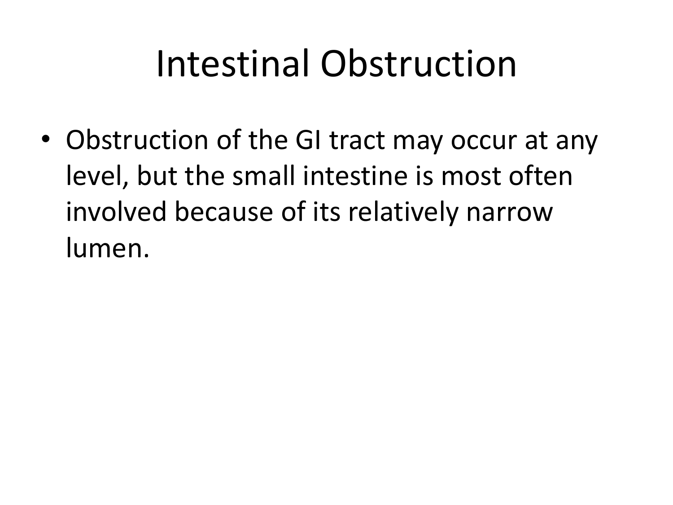# Intestinal Obstruction

• Obstruction of the GI tract may occur at any level, but the small intestine is most often involved because of its relatively narrow lumen.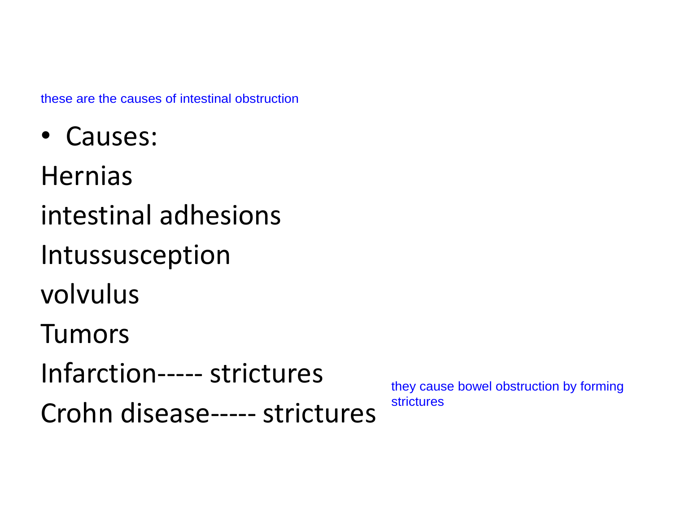• Causes:

**Hernias** intestinal adhesions Intussusception volvulus Tumors Infarction----- strictures Crohn disease----- strictures these are the causes of intestinal obstruction<br>• Causes:<br>intestinal adhesions<br>Intussusception<br>volvulus<br>Tumors<br>Infarction----- strictures

they cause bowel obstruction by forming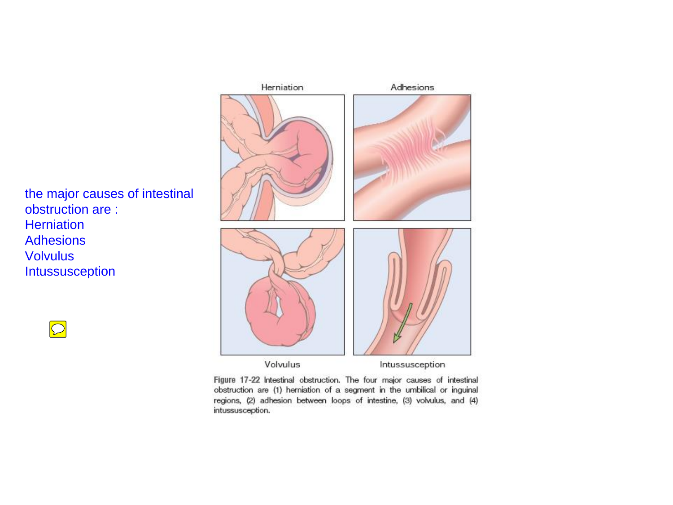the major causes of intestinal obstruction are : **Herniation Adhesions** Volvulus Intussusception





Figure 17-22 Intestinal obstruction. The four major causes of intestinal obstruction are (1) herniation of a segment in the umbilical or inguinal regions, (2) adhesion between loops of intestine, (3) volvulus, and (4) intussusception.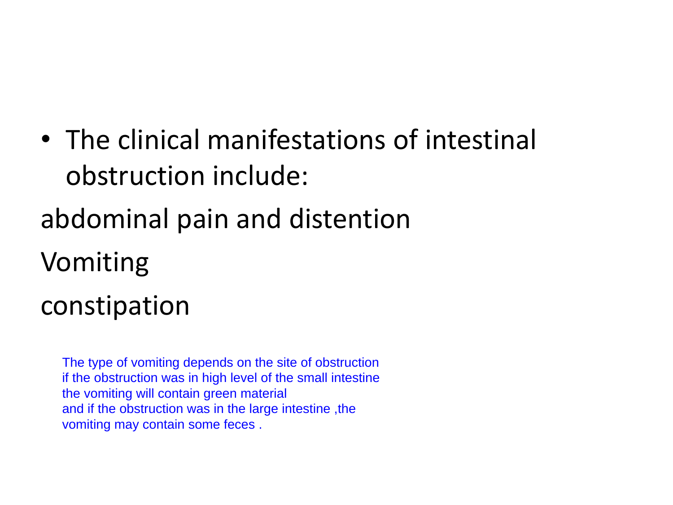- The clinical manifestations of intestinal obstruction include:
- abdominal pain and distention

## Vomiting constipation

The type of vomiting depends on the site of obstruction if the obstruction was in high level of the small intestine, the vomiting will contain green material and if the obstruction was in the large intestine ,the vomiting may contain some feces .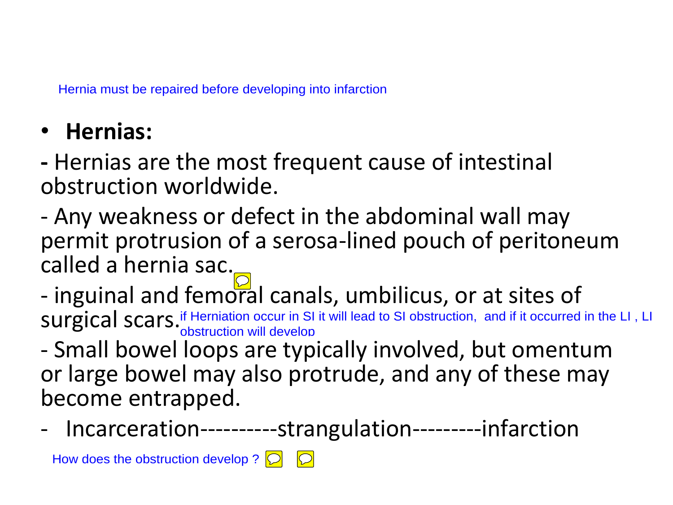### • **Hernias:**

**-** Hernias are the most frequent cause of intestinal obstruction worldwide.

- Any weakness or defect in the abdominal wall may permit protrusion of a serosa-lined pouch of peritoneum called a hernia sac. Hernia must be repaired before developing into infarction<br> **Hernias:**<br>
Hernias are the most frequent ca<br>
bstruction worldwide.<br>
Any weakness or defect in the ab<br>
ermit protrusion of a serosa-line<br>
alled a hernia sac.<br>
ing

- inguinal and femoral canals, umbilicus, or at sites of Surgical scars. If Herniation occur in SI it will lead to SI obstruction, and if it occurred in the LI, LI

- Small bowel loops are typically involved, but omentum or large bowel may also protrude, and any of these may become entrapped.

- Incarceration----------strangulation---------infarction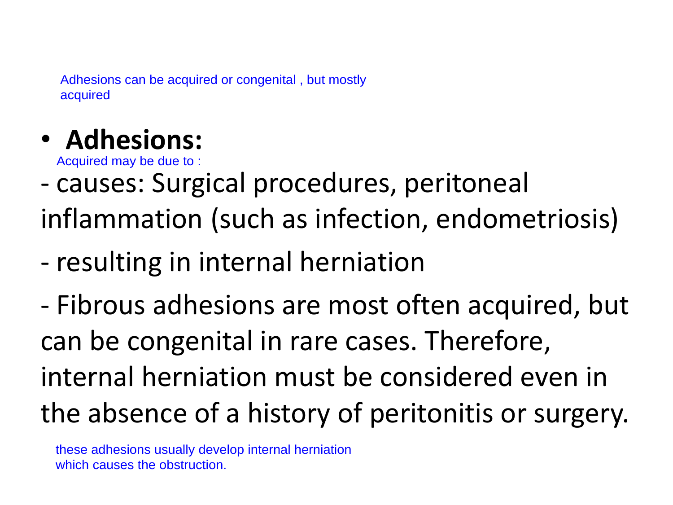Adhesions can be acquired or congenital , but mostly

## • **Adhesions:** acquired<br> **Adhesions:**<br>
Acquired may be due to :

- causes: Surgical procedures, peritoneal inflammation (such as infection, endometriosis)
- resulting in internal herniation

- Fibrous adhesions are most often acquired, but can be congenital in rare cases. Therefore, internal herniation must be considered even in the absence of a history of peritonitis or surgery.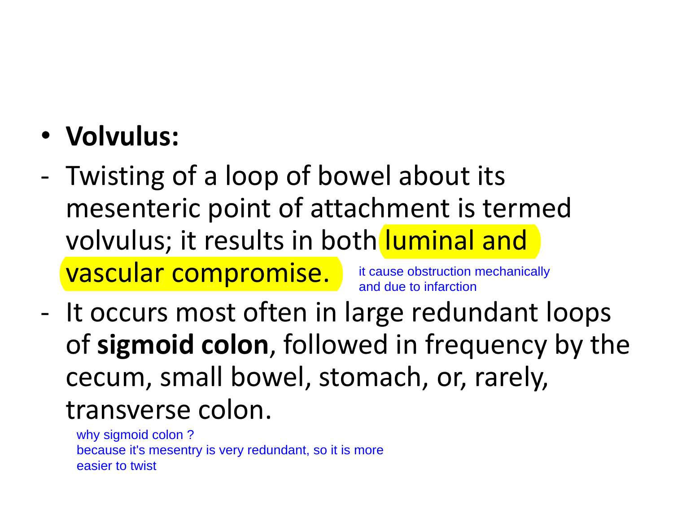- **Volvulus:**
- Twisting of a loop of bowel about its mesenteric point of attachment is termed volvulus; it results in both luminal and vascular compromise. it cause obstruction mechanically and due to infarction
- It occurs most often in large redundant loops of **sigmoid colon**, followed in frequency by the cecum, small bowel, stomach, or, rarely, transverse colon.

why sigmoid colon? because it's mesentry is very redundant, so it is more easier to twist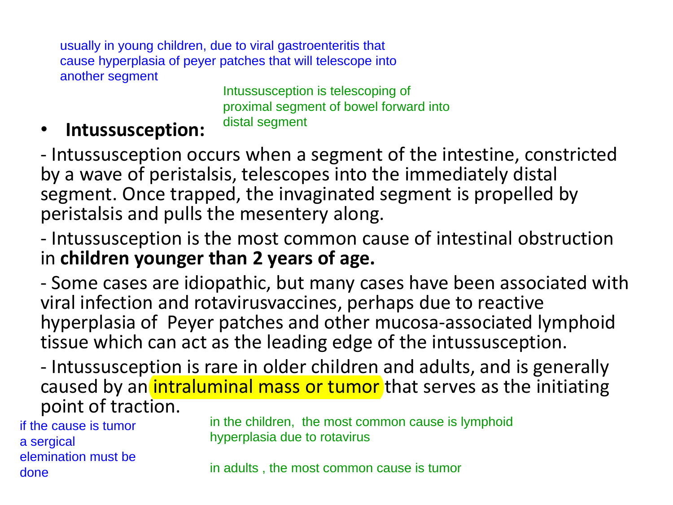usually in young children, due to viral gastroenteritis that cause hyperplasia of peyer patches that will telescope into another segment

Intussusception is telescoping of proximal segment of bowel forward into distal segment

### • **Intussusception:**

- Intussusception occurs when a segment of the intestine, constricted by a wave of peristalsis, telescopes into the immediately distal segment. Once trapped, the invaginated segment is propelled by peristalsis and pulls the mesentery along.

- Intussusception is the most common cause of intestinal obstruction in **children younger than 2 years of age.**

- Some cases are idiopathic, but many cases have been associated with viral infection and rotavirusvaccines, perhaps due to reactive hyperplasia of Peyer patches and other mucosa-associated lymphoid tissue which can act as the leading edge of the intussusception.

- Intussusception is rare in older children and adults, and is generally caused by an intraluminal mass or tumor that serves as the initiating point of traction.

if the cause is tumor a sergical elemination must be done

in the children, the most common cause is lymphoid hyperplasia due to rotavirus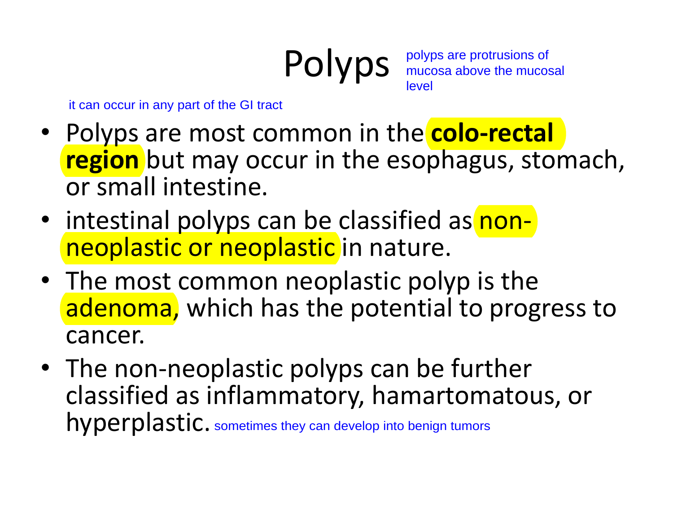Polyps are protrusions of mucosa above the muco mucosa above the mucosal

level<br>it can occur in any part of the GI tract

- Polyps are most common in the **colo-rectal region** but may occur in the esophagus, stomach, or small intestine.
- intestinal polyps can be classified as nonneoplastic or neoplastic in nature.
- The most common neoplastic polyp is the adenoma, which has the potential to progress to cancer.
- The non-neoplastic polyps can be further classified as inflammatory, hamartomatous, or hyperplastic. sometimes they can develop into benign tumors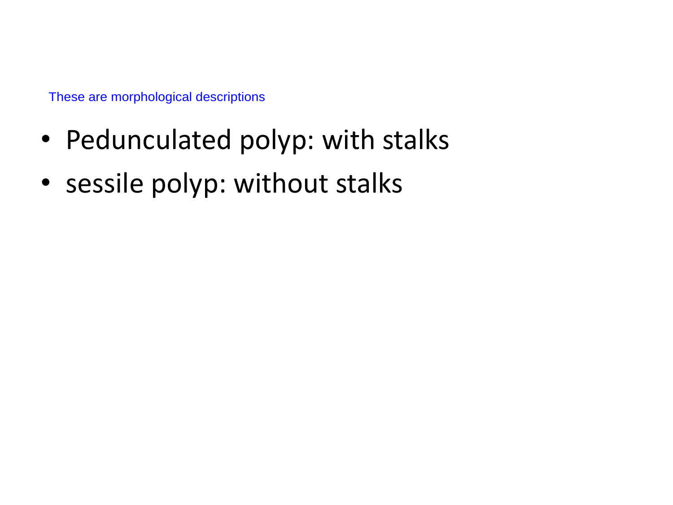These are morphological descriptions

- Pedunculated polyp: with stalks
- sessile polyp: without stalks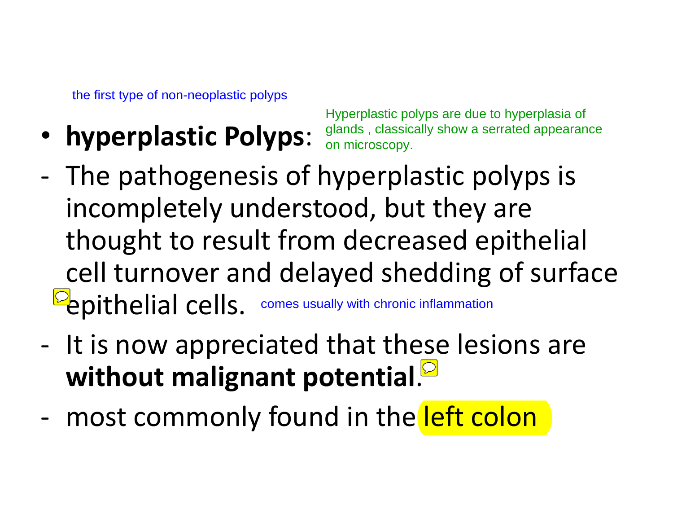• **hyperplastic Polyps**:

Hyperplastic polyps are due to hyperplasia of glands , classically show a serrated appearance on microscopy.

- The pathogenesis of hyperplastic polyps is incompletely understood, but they are thought to result from decreased epithelial cell turnover and delayed shedding of surface **Pepithelial cells.** comes usually with chronic inflammation the first type of non-neoplastic polyps<br> **The pathogenesis of hyperplastic polyps**<br>
The pathogenesis of hyperplastic por<br>
recompletely understood, but they<br>
chought to result from decreased epped turnover and delayed shedd
- It is now appreciated that these lesions are **without malignant potential**.
- most commonly found in the left colon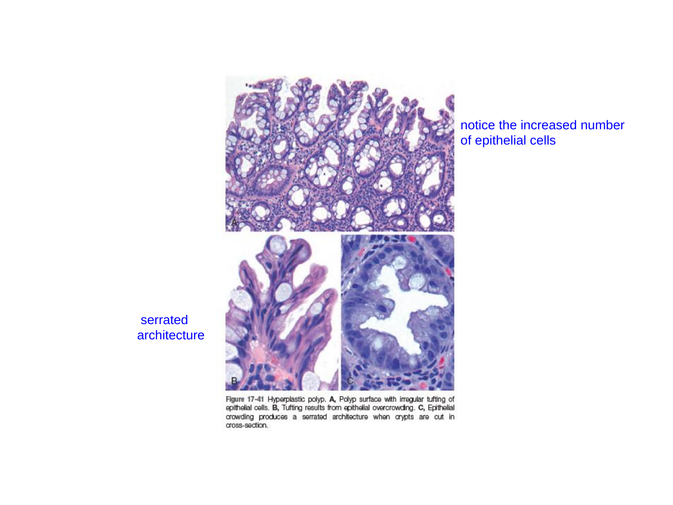

notice the increased number of epithelial cells

 serrated architecture

> Figure 17-41 Hyperplastic polyp. A, Polyp surface with irregular tufting of epithelial cells. B, Tufting results from epithelial overcrowding. C, Epithelial crowding produces a serrated architecture when crypts are cut in cross-section.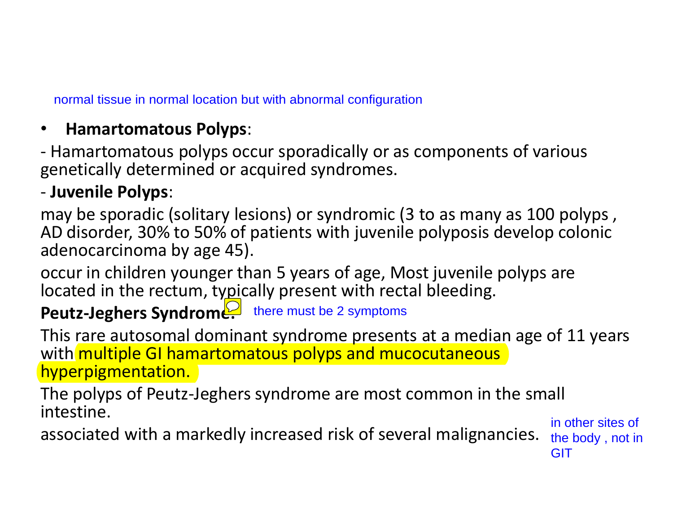### • **Hamartomatous Polyps**:

- Hamartomatous polyps occur sporadically or as components of various genetically determined or acquired syndromes.

#### - **Juvenile Polyps**:

may be sporadic (solitary lesions) or syndromic (3 to as many as 100 polyps , AD disorder, 30% to 50% of patients with juvenile polyposis develop colonic adenocarcinoma by age 45). normal tissue in normal location but with abnormal configuration<br> **Hamartomatous polyps:**<br> **Hamartomatous polyps occur sporadically or as connectically determined or acquired syndromes.**<br> **Invenile Polyps:**<br> **Alternationa** 

occur in children younger than 5 years of age, Most juvenile polyps are located in the rectum, typically present with rectal bleeding.

### **Peutz-Jeghers Syndrome:** there must be 2 symptoms

This rare autosomal dominant syndrome presents at a median age of 11 years with multiple GI hamartomatous polyps and mucocutaneous hyperpigmentation.

The polyps of Peutz-Jeghers syndrome are most common in the small intestine.

associated with a markedly increased risk of several malignancies.

in other sites of the body , not in **GIT**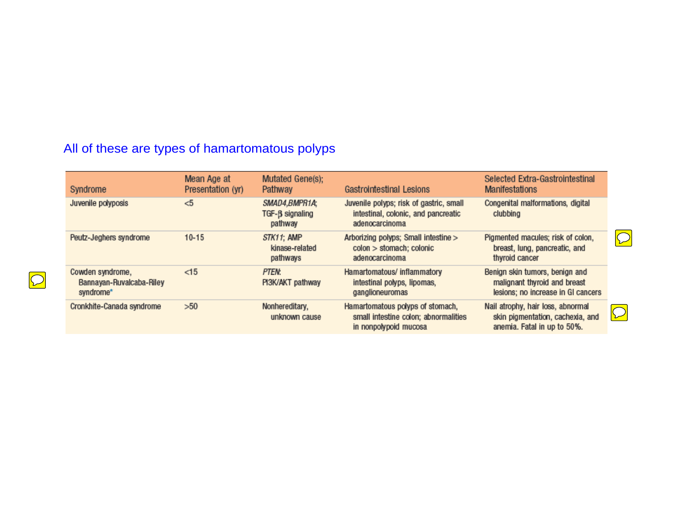#### All of these are types of hamartomatous polyps

| Syndrome                                                  | Mean Age at<br>Presentation (yr) | Mutated Gene(s);<br>Pathway                       | <b>Gastrointestinal Lesions</b>                                                                   | Selected Extra-Gastrointestinal<br>Manifestations                                                    |            |
|-----------------------------------------------------------|----------------------------------|---------------------------------------------------|---------------------------------------------------------------------------------------------------|------------------------------------------------------------------------------------------------------|------------|
| Juvenile polyposis                                        | < 5                              | SMAD4,BMPR1A;<br>$TGF-\beta signaling$<br>pathway | Juvenile polyps; risk of gastric, small<br>intestinal, colonic, and pancreatic<br>adenocarcinoma  | Congenital malformations, digital<br>clubbing                                                        |            |
| Peutz-Jeghers syndrome                                    | $10 - 15$                        | STK11: AMP<br>kinase-related<br>pathways          | Arborizing polyps; Small intestine ><br>colon > stomach; colonic<br>adenocarcinoma                | Pigmented macules; risk of colon,<br>breast, lung, pancreatic, and<br>thyroid cancer                 | $\bigcirc$ |
| Cowden syndrome,<br>Bannayan-Ruvalcaba-Riley<br>syndrome* | $<$ 15                           | PTEN:<br>PI3K/AKT pathway                         | Hamartomatous/ inflammatory<br>intestinal polyps, lipomas,<br>ganglioneuromas                     | Benign skin tumors, benign and<br>malignant thyroid and breast<br>lesions; no increase in GI cancers |            |
| Cronkhite-Canada syndrome                                 | >50                              | Nonhereditary,<br>unknown cause                   | Hamartomatous polyps of stomach,<br>small intestine colon; abnormalities<br>in nonpolypoid mucosa | Nail atrophy, hair loss, abnormal<br>skin pigmentation, cachexia, and<br>anemia. Fatal in up to 50%. |            |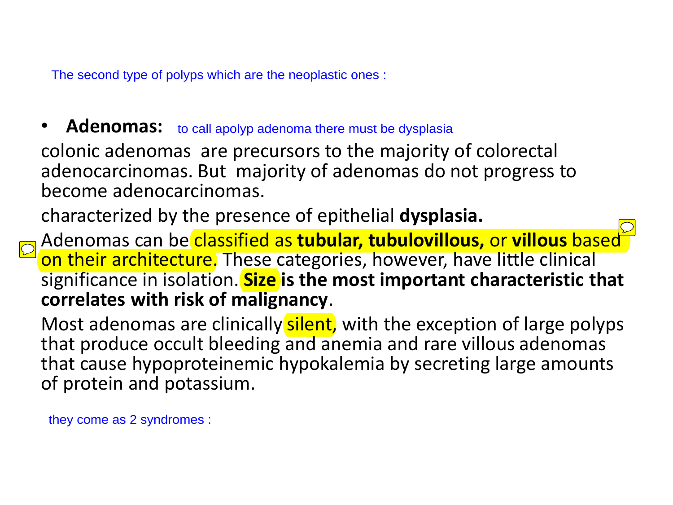The second type of polyps which are the neoplastic ones :

Adenomas: to call apolyp adenoma there must be dysplasia

colonic adenomas are precursors to the majority of colorectal adenocarcinomas. But majority of adenomas do not progress to become adenocarcinomas.

characterized by the presence of epithelial **dysplasia.**

Adenomas can be classified as **tubular, tubulovillous,** or **villous** based on their architecture. These categories, however, have little clinical significance in isolation. **Size is the most important characteristic that correlates with risk of malignancy**. Adenomas: to call apolyp adenoma there must be dysplasia<br>colonic adenomas are precursors to the majority of<br>idenocarcinomas. But majority of adenomas do r<br>become adenocarcinomas.<br>haracterized by the presence of epithelial

Most adenomas are clinically silent, with the exception of large polyps that produce occult bleeding and anemia and rare villous adenomas that cause hypoproteinemic hypokalemia by secreting large amounts of protein and potassium.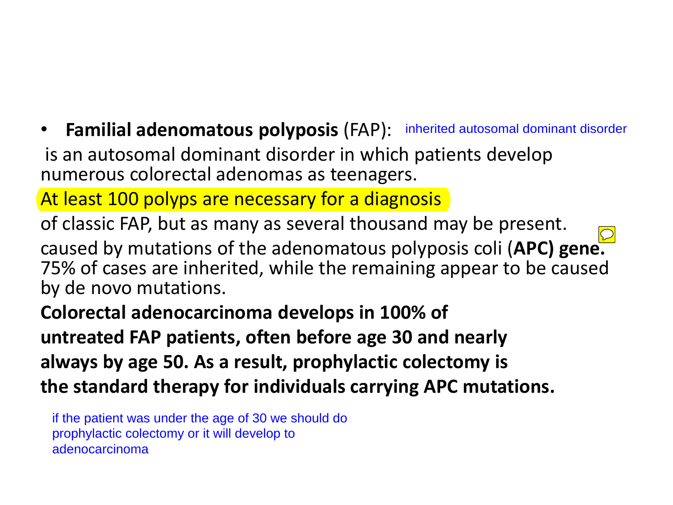• **Familial adenomatous polyposis** (FAP): inherited autosomal dominant disorder

is an autosomal dominant disorder in which patients develop numerous colorectal adenomas as teenagers.

At least 100 polyps are necessary for a diagnosis

of classic FAP, but as many as several thousand may be present. caused by mutations of the adenomatous polyposis coli (**APC) gene.**  75% of cases are inherited, while the remaining appear to be caused by de novo mutations.

**Colorectal adenocarcinoma develops in 100% of untreated FAP patients, often before age 30 and nearly always by age 50. As a result, prophylactic colectomy is the standard therapy for individuals carrying APC mutations.**

if the patient was under the age of 30 we should do prophylactic colectomy or it will develop to adenocarcinoma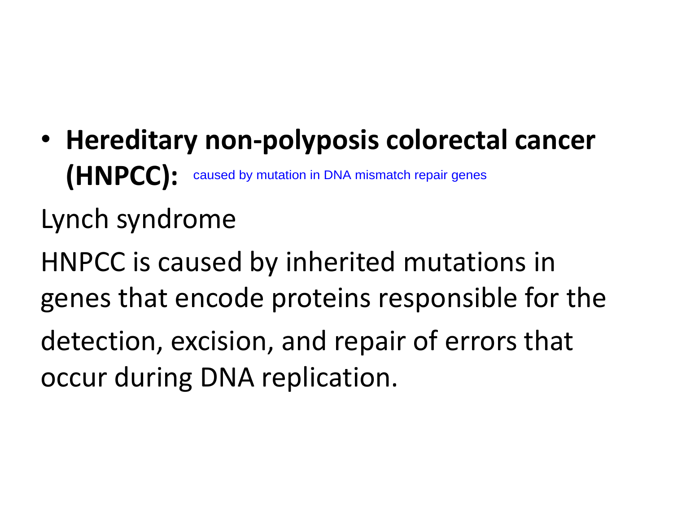• **Hereditary non-polyposis colorectal cancer (HNPCC):** caused by mutation in DNA mismatch repair genes

Lynch syndrome

HNPCC is caused by inherited mutations in genes that encode proteins responsible for the

detection, excision, and repair of errors that occur during DNA replication.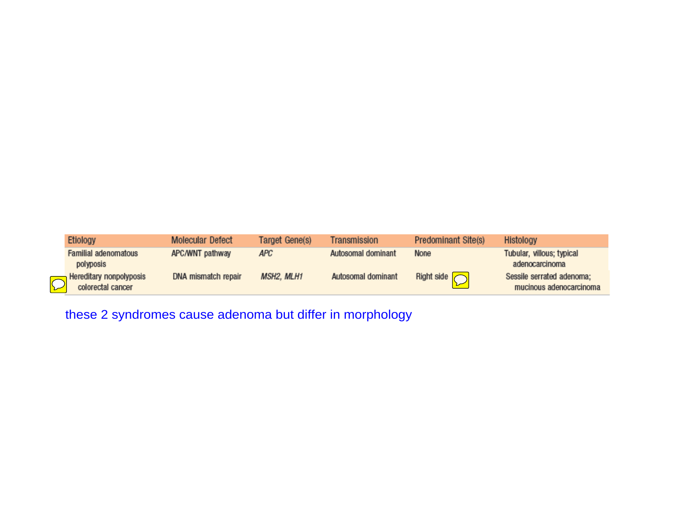| Etiology                                     | Molecular Defect    | Target Gene(s)    | Transmission       | Predominant Site(s)  | Histology                                            |
|----------------------------------------------|---------------------|-------------------|--------------------|----------------------|------------------------------------------------------|
| Familial adenomatous<br>polyposis            | APC/WNT pathway     | APC               | Autosomal dominant | None                 | Tubular, villous; typical<br>adenocarcinoma          |
| Hereditary nonpolyposis<br>colorectal cancer | DNA mismatch repair | <b>MSH2, MLH1</b> | Autosomal dominant | Right side $\bigcap$ | Sessile serrated adenoma;<br>mucinous adenocarcinoma |

these 2 syndromes cause adenoma but differ in morphology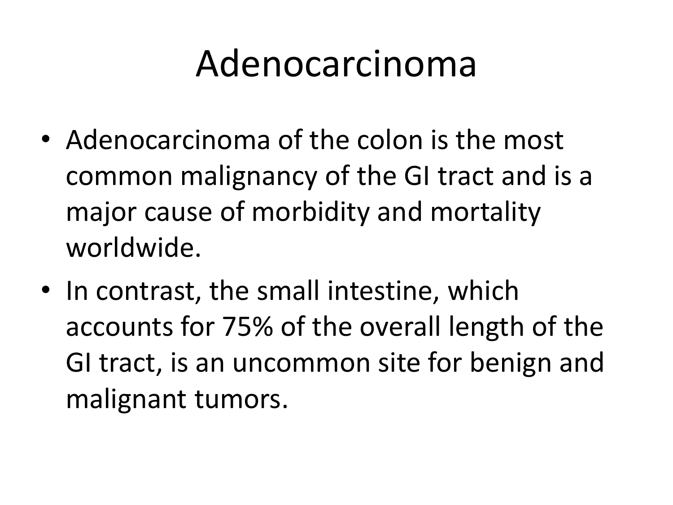## Adenocarcinoma

- Adenocarcinoma of the colon is the most common malignancy of the GI tract and is a major cause of morbidity and mortality worldwide.
- In contrast, the small intestine, which accounts for 75% of the overall length of the GI tract, is an uncommon site for benign and malignant tumors.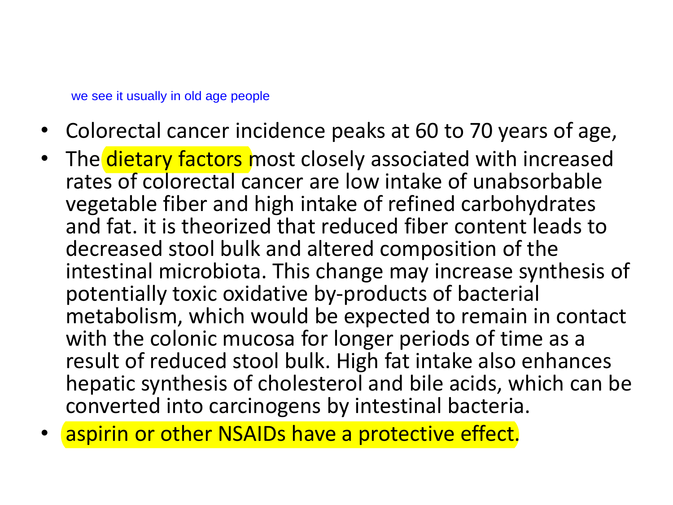#### we see it usually in old age people

- Colorectal cancer incidence peaks at 60 to 70 years of age,
- The dietary factors most closely associated with increased rates of colorectal cancer are low intake of unabsorbable vegetable fiber and high intake of refined carbohydrates and fat. it is theorized that reduced fiber content leads to decreased stool bulk and altered composition of the intestinal microbiota. This change may increase synthesis of potentially toxic oxidative by-products of bacterial metabolism, which would be expected to remain in contact with the colonic mucosa for longer periods of time as a result of reduced stool bulk. High fat intake also enhances hepatic synthesis of cholesterol and bile acids, which can be converted into carcinogens by intestinal bacteria.
- aspirin or other NSAIDs have a protective effect.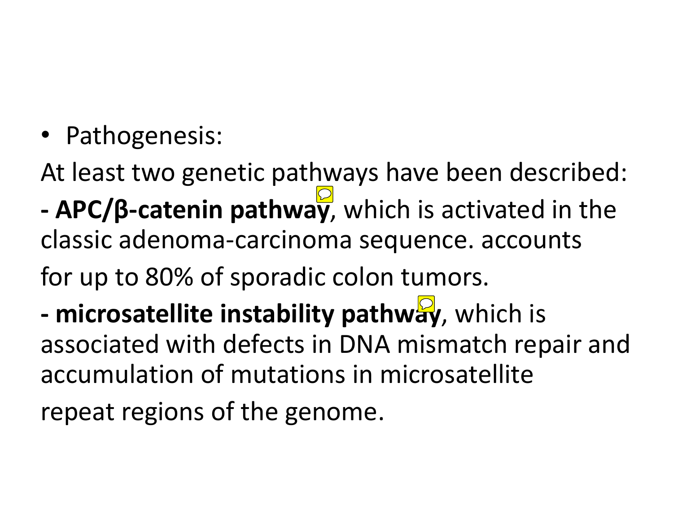• Pathogenesis:

At least two genetic pathways have been described:

**- APC/β-catenin pathway**, which is activated in the classic adenoma-carcinoma sequence. accounts

for up to 80% of sporadic colon tumors.

**- microsatellite instability pathway**, which is associated with defects in DNA mismatch repair and accumulation of mutations in microsatellite

repeat regions of the genome.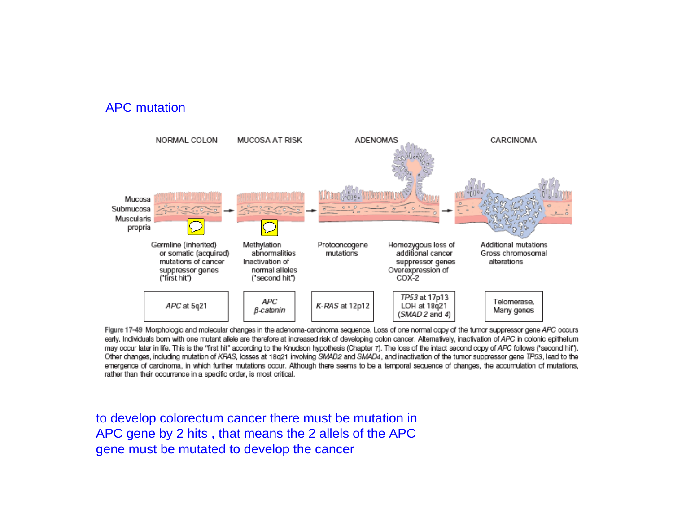#### APC mutation



Figure 17-49 Morphologic and molecular changes in the adenoma-carcinoma sequence. Loss of one normal copy of the tumor suppressor gene APC occurs early. Individuals born with one mutant allele are therefore at increased risk of developing colon cancer. Alternatively, inactivation of APC in colonic epithelium may occur later in life. This is the "first hit" according to the Knudson hypothesis (Chapter 7). The loss of the intact second copy of APC follows ("second hit"). Other changes, including mutation of KRAS, losses at 18q21 involving SMAD2 and SMAD4, and inactivation of the tumor suppressor gene TP53, lead to the emergence of carcinoma, in which further mutations occur. Although there seems to be a temporal sequence of changes, the accumulation of mutations, rather than their occurrence in a specific order, is most critical.

to develop colorectum cancer there must be mutation in APC gene by 2 hits , that means the 2 allels of the APC gene must be mutated to develop the cancer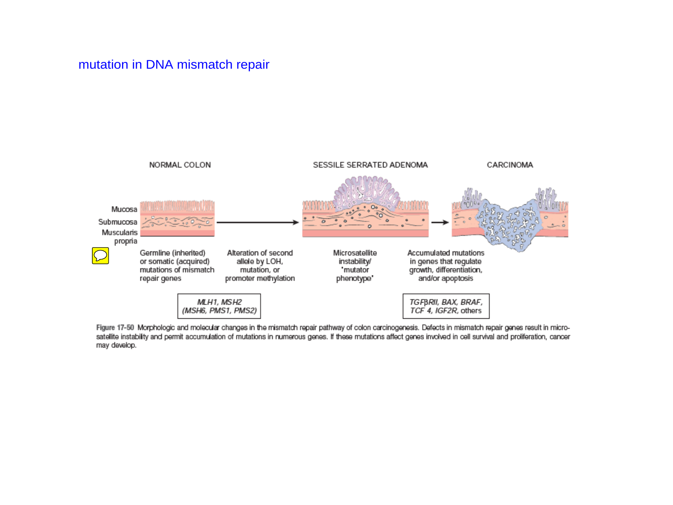#### mutation in DNA mismatch repair



Figure 17-50 Morphologic and molecular changes in the mismatch repair pathway of colon carcinogenesis. Defects in mismatch repair genes result in microsatellite instability and permit accumulation of mutations in numerous genes. If these mutations affect genes involved in cell survival and proliferation, cancer may develop.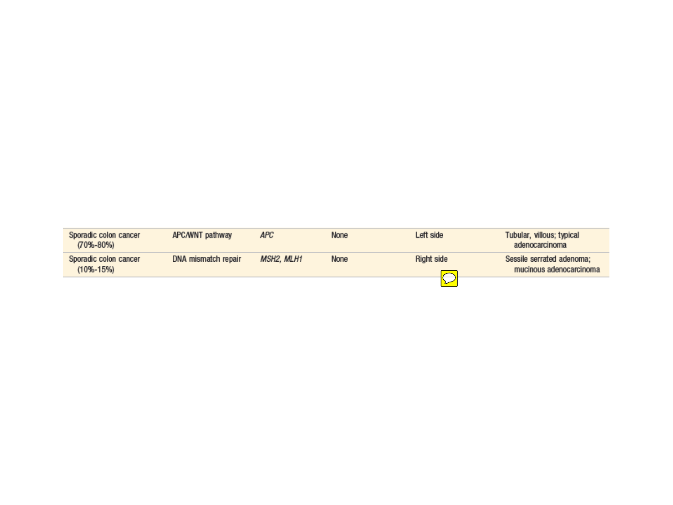| Sporadic colon cancer<br>$(70\% - 80\%)$ | APC/WNT pathway     | <b>APC</b>        | <b>None</b> | _eft side         | Tubular, villous; typical<br>adenocarcinoma          |
|------------------------------------------|---------------------|-------------------|-------------|-------------------|------------------------------------------------------|
| Sporadic colon cancer<br>$(10\% - 15\%)$ | DNA mismatch repair | <b>MSH2, MLH1</b> | <b>None</b> | <b>Right side</b> | Sessile serrated adenoma:<br>mucinous adenocarcinoma |
|                                          |                     |                   |             |                   |                                                      |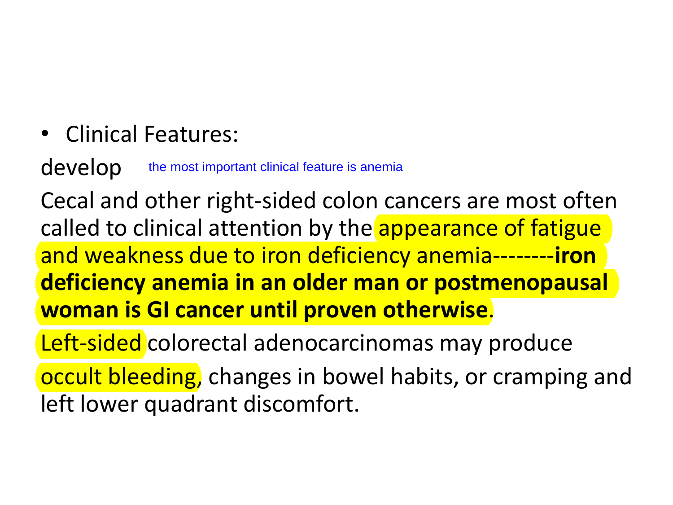• Clinical Features:

develop the most important clinical feature is anemia

Cecal and other right-sided colon cancers are most often called to clinical attention by the appearance of fatigue and weakness due to iron deficiency anemia--------**iron deficiency anemia in an older man or postmenopausal woman is GI cancer until proven otherwise**.

Left-sided colorectal adenocarcinomas may produce

occult bleeding, changes in bowel habits, or cramping and left lower quadrant discomfort.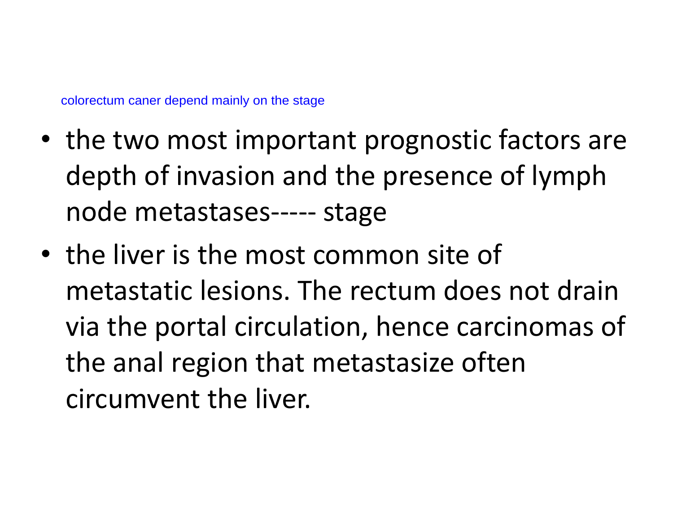colorectum caner depend mainly on the stage

- the two most important prognostic factors are depth of invasion and the presence of lymph node metastases----- stage
- the liver is the most common site of metastatic lesions. The rectum does not drain via the portal circulation, hence carcinomas of the anal region that metastasize often circumvent the liver.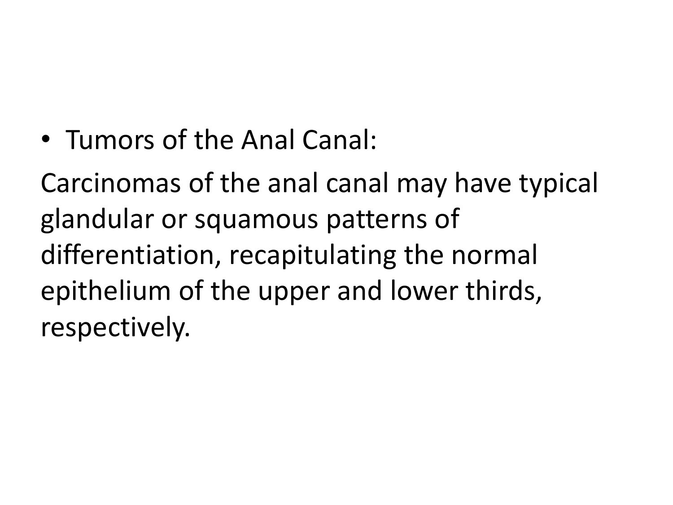• Tumors of the Anal Canal:

Carcinomas of the anal canal may have typical glandular or squamous patterns of differentiation, recapitulating the normal epithelium of the upper and lower thirds, respectively.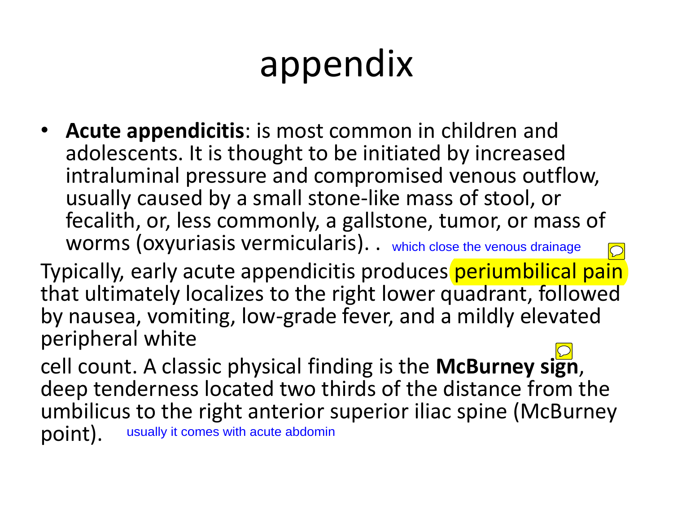# appendix

• **Acute appendicitis**: is most common in children and adolescents. It is thought to be initiated by increased intraluminal pressure and compromised venous outflow, usually caused by a small stone-like mass of stool, or fecalith, or, less commonly, a gallstone, tumor, or mass of worms (oxyuriasis vermicularis). . which close the venous drainage

Typically, early acute appendicitis produces periumbilical pain that ultimately localizes to the right lower quadrant, followed by nausea, vomiting, low-grade fever, and a mildly elevated peripheral white is (oxyuriasis vermicularis). . which close the venous drainage<br>early acute appendicitis produces periumbilical<br>nately localizes to the right lower quadrant, follow<br>a, vomiting, low-grade fever, and a mildly elevate<br>al whi

cell count. A classic physical finding is the **McBurney sign**, deep tenderness located two thirds of the distance from the umbilicus to the right anterior superior iliac spine (McBurney point).